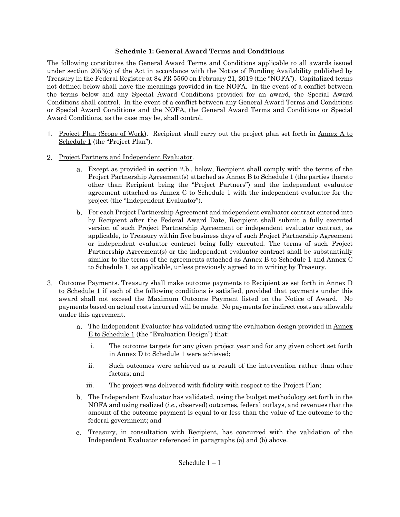# **Schedule 1: General Award Terms and Conditions**

The following constitutes the General Award Terms and Conditions applicable to all awards issued under section 2053(c) of the Act in accordance with the Notice of Funding Availability published by Treasury in the Federal Register at 84 FR 5560 on February 21, 2019 (the "NOFA"). Capitalized terms not defined below shall have the meanings provided in the NOFA. In the event of a conflict between the terms below and any Special Award Conditions provided for an award, the Special Award Conditions shall control. In the event of a conflict between any General Award Terms and Conditions or Special Award Conditions and the NOFA, the General Award Terms and Conditions or Special Award Conditions, as the case may be, shall control.

- 1. Project Plan (Scope of Work). Recipient shall carry out the project plan set forth in Annex A to Schedule 1 (the "Project Plan").
- 2. Project Partners and Independent Evaluator.
	- Except as provided in section 2.b., below, Recipient shall comply with the terms of the Project Partnership Agreement(s) attached as Annex B to Schedule 1 (the parties thereto other than Recipient being the "Project Partners") and the independent evaluator agreement attached as Annex C to Schedule 1 with the independent evaluator for the project (the "Independent Evaluator").
	- For each Project Partnership Agreement and independent evaluator contract entered into by Recipient after the Federal Award Date, Recipient shall submit a fully executed version of such Project Partnership Agreement or independent evaluator contract, as applicable, to Treasury within five business days of such Project Partnership Agreement or independent evaluator contract being fully executed. The terms of such Project Partnership Agreement(s) or the independent evaluator contract shall be substantially similar to the terms of the agreements attached as Annex B to Schedule 1 and Annex C to Schedule 1, as applicable, unless previously agreed to in writing by Treasury.
- 3. Outcome Payments. Treasury shall make outcome payments to Recipient as set forth in Annex D to Schedule 1 if each of the following conditions is satisfied, provided that payments under this award shall not exceed the Maximum Outcome Payment listed on the Notice of Award. No payments based on actual costs incurred will be made. No payments for indirect costs are allowable under this agreement.
	- The Independent Evaluator has validated using the evaluation design provided in Annex E to Schedule 1 (the "Evaluation Design") that:
		- i. The outcome targets for any given project year and for any given cohort set forth in Annex D to Schedule 1 were achieved;
		- ii. Such outcomes were achieved as a result of the intervention rather than other factors; and
		- iii. The project was delivered with fidelity with respect to the Project Plan;
	- The Independent Evaluator has validated, using the budget methodology set forth in the NOFA and using realized (*i.e*., observed) outcomes, federal outlays, and revenues that the amount of the outcome payment is equal to or less than the value of the outcome to the federal government; and
	- Treasury, in consultation with Recipient, has concurred with the validation of the  $C<sub>1</sub>$ Independent Evaluator referenced in paragraphs (a) and (b) above.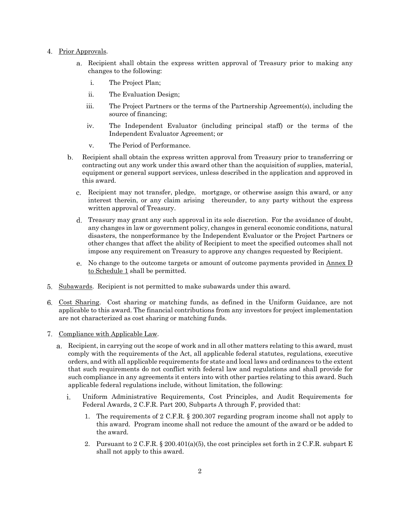- 4. Prior Approvals.
	- Recipient shall obtain the express written approval of Treasury prior to making any changes to the following:
		- i. The Project Plan;
		- ii. The Evaluation Design;
		- iii. The Project Partners or the terms of the Partnership Agreement(s), including the source of financing;
		- iv. The Independent Evaluator (including principal staff) or the terms of the Independent Evaluator Agreement; or
		- v. The Period of Performance.
	- Recipient shall obtain the express written approval from Treasury prior to transferring or  $\mathbf{b}$ . contracting out any work under this award other than the acquisition of supplies, material, equipment or general support services, unless described in the application and approved in this award.
		- Recipient may not transfer, pledge, mortgage, or otherwise assign this award, or any interest therein, or any claim arising thereunder, to any party without the express written approval of Treasury.
		- Treasury may grant any such approval in its sole discretion. For the avoidance of doubt, any changes in law or government policy, changes in general economic conditions, natural disasters, the nonperformance by the Independent Evaluator or the Project Partners or other changes that affect the ability of Recipient to meet the specified outcomes shall not impose any requirement on Treasury to approve any changes requested by Recipient.
		- No change to the outcome targets or amount of outcome payments provided in Annex D to Schedule 1 shall be permitted.
- 5. Subawards. Recipient is not permitted to make subawards under this award.
- Cost Sharing. Cost sharing or matching funds, as defined in the Uniform Guidance, are not applicable to this award. The financial contributions from any investors for project implementation are not characterized as cost sharing or matching funds.
- 7. Compliance with Applicable Law.
	- Recipient, in carrying out the scope of work and in all other matters relating to this award, must comply with the requirements of the Act, all applicable federal statutes, regulations, executive orders, and with all applicable requirements for state and local laws and ordinances to the extent that such requirements do not conflict with federal law and regulations and shall provide for such compliance in any agreements it enters into with other parties relating to this award. Such applicable federal regulations include, without limitation, the following:
		- i. Uniform Administrative Requirements, Cost Principles, and Audit Requirements for Federal Awards, 2 C.F.R. Part 200, Subparts A through F, provided that:
			- 1. The requirements of 2 C.F.R. § 200.307 regarding program income shall not apply to this award. Program income shall not reduce the amount of the award or be added to the award.
			- 2. Pursuant to 2 C.F.R. § 200.401(a)(5), the cost principles set forth in 2 C.F.R. subpart E shall not apply to this award.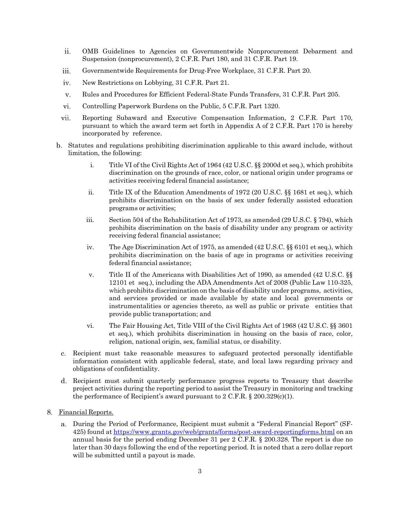- ii. OMB Guidelines to Agencies on Governmentwide Nonprocurement Debarment and Suspension (nonprocurement), 2 C.F.R. Part 180, and 31 C.F.R. Part 19.
- iii. Governmentwide Requirements for Drug-Free Workplace, 31 C.F.R. Part 20.
- iv. New Restrictions on Lobbying, 31 C.F.R. Part 21*.*
- v. Rules and Procedures for Efficient Federal-State Funds Transfers, 31 C.F.R. Part 205.
- vi. Controlling Paperwork Burdens on the Public, 5 C.F.R. Part 1320.
- vii. Reporting Subaward and Executive Compensation Information, 2 C.F.R. Part 170, pursuant to which the award term set forth in Appendix A of 2 C.F.R. Part 170 is hereby incorporated by reference.
- Statutes and regulations prohibiting discrimination applicable to this award include, without limitation, the following:
	- i. Title VI of the Civil Rights Act of 1964 (42 U.S.C. §§ 2000d et seq.), which prohibits discrimination on the grounds of race, color, or national origin under programs or activities receiving federal financial assistance;
	- ii. Title IX of the Education Amendments of 1972 (20 U.S.C. §§ 1681 et seq.), which prohibits discrimination on the basis of sex under federally assisted education programs or activities;
	- iii. Section 504 of the Rehabilitation Act of 1973, as amended (29 U.S.C.  $\S$  794), which prohibits discrimination on the basis of disability under any program or activity receiving federal financial assistance;
	- iv. The Age Discrimination Act of 1975, as amended (42 U.S.C. §§ 6101 et seq.), which prohibits discrimination on the basis of age in programs or activities receiving federal financial assistance;
	- v. Title II of the Americans with Disabilities Act of 1990, as amended (42 U.S.C. §§ 12101 et seq.), including the ADA Amendments Act of 2008 (Public Law 110-325, which prohibits discrimination on the basis of disability under programs, activities, and services provided or made available by state and local governments or instrumentalities or agencies thereto, as well as public or private entities that provide public transportation; and
	- vi. The Fair Housing Act, Title VIII of the Civil Rights Act of 1968 (42 U.S.C. §§ 3601 et seq.), which prohibits discrimination in housing on the basis of race, color, religion, national origin, sex, familial status, or disability.
- Recipient must take reasonable measures to safeguard protected personally identifiable  $c.$ information consistent with applicable federal, state, and local laws regarding privacy and obligations of confidentiality.
- Recipient must submit quarterly performance progress reports to Treasury that describe project activities during the reporting period to assist the Treasury in monitoring and tracking the performance of Recipient's award pursuant to  $2 \text{ C.F.R. } § 200.329(c)(1)$ .
- Financial Reports.
	- During the Period of Performance, Recipient must submit a "Federal Financial Report" (SF-425) found at<https://www.grants.gov/web/grants/forms/post-award-reportingforms.html> on an annual basis for the period ending December 31 per 2 C.F.R. § 200.328. The report is due no later than 30 days following the end of the reporting period. It is noted that a zero dollar report will be submitted until a payout is made.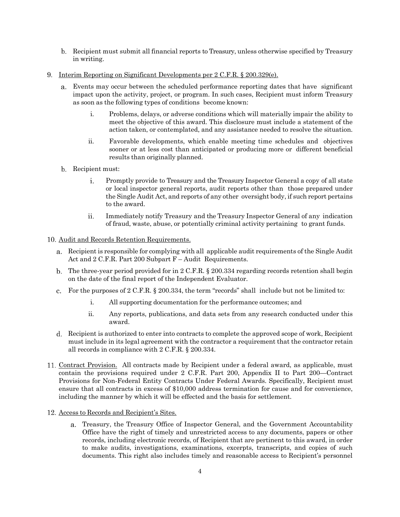- Recipient must submit all financial reports to Treasury, unless otherwise specified by Treasury in writing.
- Interim Reporting on Significant Developments per 2 C.F.R. § 200.329(e).
	- Events may occur between the scheduled performance reporting dates that have significant impact upon the activity, project, or program. In such cases, Recipient must inform Treasury as soon as the following types of conditions become known:
		- i. Problems, delays, or adverse conditions which will materially impair the ability to meet the objective of this award. This disclosure must include a statement of the action taken, or contemplated, and any assistance needed to resolve the situation.
		- ii. Favorable developments, which enable meeting time schedules and objectives sooner or at less cost than anticipated or producing more or different beneficial results than originally planned.
	- b. Recipient must:
		- $i$ . Promptly provide to Treasury and the Treasury Inspector General a copy of all state or local inspector general reports, audit reports other than those prepared under the Single Audit Act, and reports of any other oversight body, if such report pertains to the award.
		- ii. Immediately notify Treasury and the Treasury Inspector General of any indication of fraud, waste, abuse, or potentially criminal activity pertaining to grant funds.

# Audit and Records Retention Requirements.

- Recipient is responsible for complying with all applicable audit requirements of the Single Audit Act and 2 C.F.R. Part 200 Subpart F – Audit Requirements.
- b. The three-year period provided for in 2 C.F.R. § 200.334 regarding records retention shall begin on the date of the final report of the Independent Evaluator.
- For the purposes of 2 C.F.R. § 200.334, the term "records" shall include but not be limited to:
	- i. All supporting documentation for the performance outcomes; and
	- ii. Any reports, publications, and data sets from any research conducted under this award.
- Recipient is authorized to enter into contracts to complete the approved scope of work, Recipient must include in its legal agreement with the contractor a requirement that the contractor retain all records in compliance with 2 C.F.R. § 200.334.
- Contract Provision. All contracts made by Recipient under a federal award, as applicable, must contain the provisions required under 2 C.F.R. Part 200, Appendix II to Part 200—Contract Provisions for Non-Federal Entity Contracts Under Federal Awards. Specifically, Recipient must ensure that all contracts in excess of \$10,000 address termination for cause and for convenience, including the manner by which it will be effected and the basis for settlement.
- 12. Access to Records and Recipient's Sites.
	- Treasury, the Treasury Office of Inspector General, and the Government Accountability Office have the right of timely and unrestricted access to any documents, papers or other records, including electronic records, of Recipient that are pertinent to this award, in order to make audits, investigations, examinations, excerpts, transcripts, and copies of such documents. This right also includes timely and reasonable access to Recipient's personnel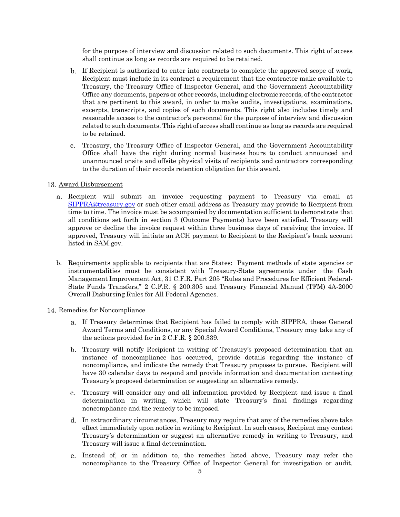for the purpose of interview and discussion related to such documents. This right of access shall continue as long as records are required to be retained.

- If Recipient is authorized to enter into contracts to complete the approved scope of work, Recipient must include in its contract a requirement that the contractor make available to Treasury, the Treasury Office of Inspector General, and the Government Accountability Office any documents, papers or other records, including electronic records, of the contractor that are pertinent to this award, in order to make audits, investigations, examinations, excerpts, transcripts, and copies of such documents. This right also includes timely and reasonable access to the contractor's personnel for the purpose of interview and discussion related to such documents. This right of access shall continue as long as records are required to be retained.
- Treasury, the Treasury Office of Inspector General, and the Government Accountability Office shall have the right during normal business hours to conduct announced and unannounced onsite and offsite physical visits of recipients and contractors corresponding to the duration of their records retention obligation for this award.

#### 13. Award Disbursement

- Recipient will submit an invoice requesting payment to Treasury via email at [SIPPRA@treasury.gov](mailto:SIPPRA@treasury.gov) or such other email address as Treasury may provide to Recipient from time to time. The invoice must be accompanied by documentation sufficient to demonstrate that all conditions set forth in section 3 (Outcome Payments) have been satisfied. Treasury will approve or decline the invoice request within three business days of receiving the invoice. If approved, Treasury will initiate an ACH payment to Recipient to the Recipient's bank account listed in SAM.gov.
- b. Requirements applicable to recipients that are States: Payment methods of state agencies or instrumentalities must be consistent with Treasury-State agreements under the Cash Management Improvement Act, 31 C.F.R. Part 205 "Rules and Procedures for Efficient Federal-State Funds Transfers," 2 C.F.R. § 200.305 and Treasury Financial Manual (TFM) 4A-2000 Overall Disbursing Rules for All Federal Agencies.

#### 14. Remedies for Noncompliance

- If Treasury determines that Recipient has failed to comply with SIPPRA, these General Award Terms and Conditions, or any Special Award Conditions, Treasury may take any of the actions provided for in 2 C.F.R. § 200.339.
- Treasury will notify Recipient in writing of Treasury's proposed determination that an instance of noncompliance has occurred, provide details regarding the instance of noncompliance, and indicate the remedy that Treasury proposes to pursue. Recipient will have 30 calendar days to respond and provide information and documentation contesting Treasury's proposed determination or suggesting an alternative remedy.
- Treasury will consider any and all information provided by Recipient and issue a final  $c.$ determination in writing, which will state Treasury's final findings regarding noncompliance and the remedy to be imposed.
- In extraordinary circumstances, Treasury may require that any of the remedies above take effect immediately upon notice in writing to Recipient. In such cases, Recipient may contest Treasury's determination or suggest an alternative remedy in writing to Treasury, and Treasury will issue a final determination.
- Instead of, or in addition to, the remedies listed above, Treasury may refer the noncompliance to the Treasury Office of Inspector General for investigation or audit.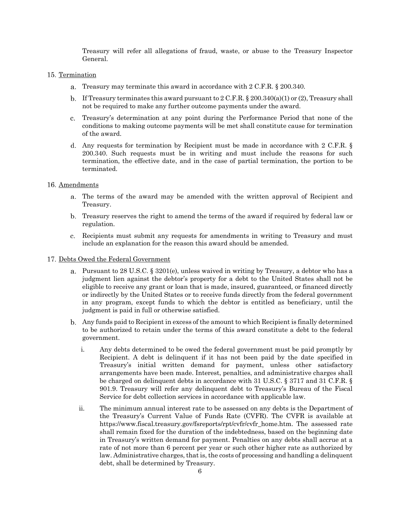Treasury will refer all allegations of fraud, waste, or abuse to the Treasury Inspector General.

## 15. Termination

- Treasury may terminate this award in accordance with 2 C.F.R. § 200.340.
- b. If Treasury terminates this award pursuant to  $2 \text{ C.F.R. }$   $\S 200.340(a)(1)$  or (2), Treasury shall not be required to make any further outcome payments under the award.
- Treasury's determination at any point during the Performance Period that none of the conditions to making outcome payments will be met shall constitute cause for termination of the award.
- Any requests for termination by Recipient must be made in accordance with 2 C.F.R. § 200.340. Such requests must be in writing and must include the reasons for such termination, the effective date, and in the case of partial termination, the portion to be terminated.

### 16. Amendments

- The terms of the award may be amended with the written approval of Recipient and Treasury.
- Treasury reserves the right to amend the terms of the award if required by federal law or regulation.
- Recipients must submit any requests for amendments in writing to Treasury and must include an explanation for the reason this award should be amended.

#### 17. Debts Owed the Federal Government

- Pursuant to 28 U.S.C. § 3201(e), unless waived in writing by Treasury, a debtor who has a judgment lien against the debtor's property for a debt to the United States shall not be eligible to receive any grant or loan that is made, insured, guaranteed, or financed directly or indirectly by the United States or to receive funds directly from the federal government in any program, except funds to which the debtor is entitled as beneficiary, until the judgment is paid in full or otherwise satisfied.
- Any funds paid to Recipient in excess of the amount to which Recipient is finally determined to be authorized to retain under the terms of this award constitute a debt to the federal government.
	- i. Any debts determined to be owed the federal government must be paid promptly by Recipient. A debt is delinquent if it has not been paid by the date specified in Treasury's initial written demand for payment, unless other satisfactory arrangements have been made. Interest, penalties, and administrative charges shall be charged on delinquent debts in accordance with 31 U.S.C. § 3717 and 31 C.F.R. § 901.9. Treasury will refer any delinquent debt to Treasury's Bureau of the Fiscal Service for debt collection services in accordance with applicable law.
	- ii. The minimum annual interest rate to be assessed on any debts is the Department of the Treasury's Current Value of Funds Rate (CVFR). The CVFR is available at [https://www.fiscal.treasury.gov/fsreports/rpt/cvfr/cvfr\\_home.htm.](https://www.fiscal.treasury.gov/fsreports/rpt/cvfr/cvfr_home.htm) The assessed rate shall remain fixed for the duration of the indebtedness, based on the beginning date in Treasury's written demand for payment. Penalties on any debts shall accrue at a rate of not more than 6 percent per year or such other higher rate as authorized by law. Administrative charges, that is, the costs of processing and handling a delinquent debt, shall be determined by Treasury.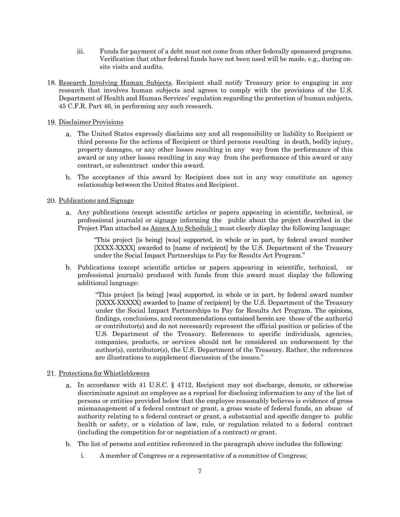- iii. Funds for payment of a debt must not come from other federally sponsored programs. Verification that other federal funds have not been used will be made, e.g., during onsite visits and audits.
- 18. Research Involving Human Subjects. Recipient shall notify Treasury prior to engaging in any research that involves human subjects and agrees to comply with the provisions of the U.S. Department of Health and Human Services' regulation regarding the protection of human subjects, 45 C.F.R. Part 46, in performing any such research.
- 19. Disclaimer Provisions
	- The United States expressly disclaims any and all responsibility or liability to Recipient or third persons for the actions of Recipient or third persons resulting in death, bodily injury, property damages, or any other losses resulting in any way from the performance of this award or any other losses resulting in any way from the performance of this award or any contract, or subcontract under this award.
	- The acceptance of this award by Recipient does not in any way constitute an agency relationship between the United States and Recipient.

## 20. Publications and Signage

Any publications (except scientific articles or papers appearing in scientific, technical, or professional journals) or signage informing the public about the project described in the Project Plan attached as Annex A to Schedule 1 must clearly display the following language:

"This project [is being] [was] supported, in whole or in part, by federal award number [XXXX-XXXX] awarded to [name of recipient] by the U.S. Department of the Treasury under the Social Impact Partnerships to Pay for Results Act Program."

Publications (except scientific articles or papers appearing in scientific, technical, or professional journals) produced with funds from this award must display the following additional language:

> "This project [is being] [was] supported, in whole or in part, by federal award number [XXXX-XXXXX] awarded to [name of recipient] by the U.S. Department of the Treasury under the Social Impact Partnerships to Pay for Results Act Program. The opinions, findings, conclusions, and recommendations contained herein are those of the author(s) or contributor(s) and do not necessarily represent the official position or policies of the U.S. Department of the Treasury. References to specific individuals, agencies, companies, products, or services should not be considered an endorsement by the author(s), contributor(s), the U.S. Department of the Treasury. Rather, the references are illustrations to supplement discussion of the issues."

#### 21. Protections for Whistleblowers

- In accordance with 41 U.S.C. § 4712, Recipient may not discharge, demote, or otherwise discriminate against an employee as a reprisal for disclosing information to any of the list of persons or entities provided below that the employee reasonably believes is evidence of gross mismanagement of a federal contract or grant, a gross waste of federal funds, an abuse of authority relating to a federal contract or grant, a substantial and specific danger to public health or safety, or a violation of law, rule, or regulation related to a federal contract (including the competition for or negotiation of a contract) or grant.
- The list of persons and entities referenced in the paragraph above includes the following:
	- i. A member of Congress or a representative of a committee of Congress;